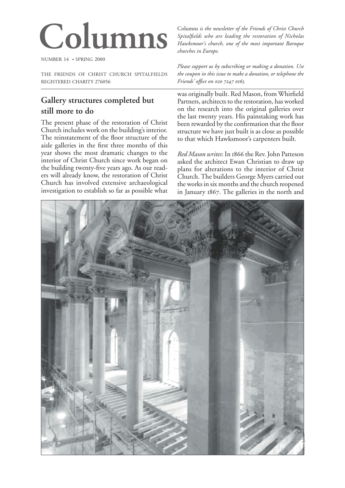# **Columns**

NUMBER 14 • SPRING 2000

THE FRIENDS OF CHRIST CHURCH SPITALFIELDS REGISTERED CHARITY 276056

# **Gallery structures completed but still more to do**

The present phase of the restoration of Christ Church includes work on the building's interior. The reinstatement of the floor structure of the aisle galleries in the first three months of this year shows the most dramatic changes to the interior of Christ Church since work began on the building twenty-five years ago. As our readers will already know, the restoration of Christ Church has involved extensive archaeological investigation to establish so far as possible what Columns *is the newsletter of the Friends of Christ Church Spitalfields who are leading the restoration of Nicholas Hawksmoor's church, one of the most important Baroque churches in Europe.*

*Please support us by subscribing or making a donation. Use the coupon in this issue to make a donation, or telephone the Friends' office on 020 7247 0165.* 

was originally built. Red Mason, from Whitfield Partners, architects to the restoration, has worked on the research into the original galleries over the last twenty years. His painstaking work has been rewarded by the confirmation that the floor structure we have just built is as close as possible to that which Hawksmoor's carpenters built.

*Red Mason writes*: In 1866 the Rev. John Patteson asked the architect Ewan Christian to draw up plans for alterations to the interior of Christ Church. The builders George Myers carried out the works in six months and the church reopened in January 1867. The galleries in the north and

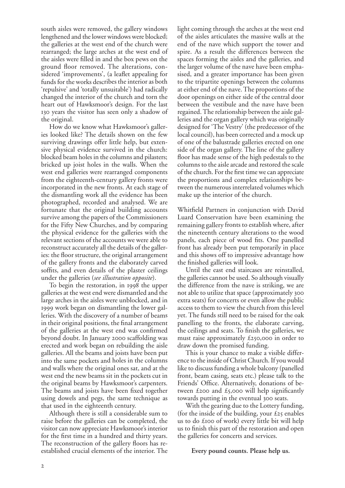south aisles were removed, the gallery windows lengthened and the lower windows were blocked; the galleries at the west end of the church were rearranged; the large arches at the west end of the aisles were filled in and the box pews on the ground floor removed. The alterations, considered 'improvements', (a leaflet appealing for funds for the works describes the interior as both 'repulsive' and 'totally unsuitable') had radically changed the interior of the church and torn the heart out of Hawksmoor's design. For the last 130 years the visitor has seen only a shadow of the original.

How do we know what Hawksmoor's galleries looked like? The details shown on the few surviving drawings offer little help, but extensive physical evidence survived in the church: blocked beam holes in the columns and pilasters; bricked up joist holes in the walls. When the west end galleries were rearranged components from the eighteenth-century gallery fronts were incorporated in the new fronts. At each stage of the dismantling work all the evidence has been <sup>p</sup>hotographed, recorded and analysed. We are fortunate that the original building accounts survive among the papers of the Commissioners for the Fifty New Churches, and by comparing the physical evidence for the galleries with the relevant sections of the accounts we were able to reconstruct accurately all the details of the galleries: the floor structure, the original arrangement of the gallery fronts and the elaborately carved soffits, and even details of the plaster ceilings under the galleries (*see illustration opposite*).

To begin the restoration, in 1998 the upper galleries at the west end were dismantled and the large arches in the aisles were unblocked, and in work began on dismantling the lower galleries. With the discovery of a number of beams in their original positions, the final arrangement of the galleries at the west end was confirmed beyond doubt. In January 2000 scaffolding was erected and work began on rebuilding the aisle galleries. All the beams and joists have been put into the same pockets and holes in the columns and walls where the original ones sat, and at the west end the new beams sit in the pockets cut in the original beams by Hawksmoor's carpenters. The beams and joists have been fixed together using dowels and pegs, the same technique as that used in the eighteenth century.

Although there is still a considerable sum to raise before the galleries can be completed, the visitor can now appreciate Hawksmoor's interior for the first time in a hundred and thirty years. The reconstruction of the gallery floors has reestablished crucial elements of the interior. The

light coming through the arches at the west end of the aisles articulates the massive walls at the end of the nave which support the tower and spire. As a result the differences between the spaces forming the aisles and the galleries, and the larger volume of the nave have been emphasised, and a greater importance has been given to the tripartite openings between the columns at either end of the nave. The proportions of the door openings on either side of the central door between the vestibule and the nave have been regained. The relationship between the aisle galleries and the organ gallery which was originally designed for 'The Vestry' (the predecessor of the local council), has been corrected and a mock up of one of the balustrade galleries erected on one side of the organ gallery. The line of the gallery floor has made sense of the high pedestals to the columns to the aisle arcade and restored the scale of the church. For the first time we can appreciate the proportions and complex relationships between the numerous interrelated volumes which make up the interior of the church.

Whitfield Partners in conjunction with David Luard Conservation have been examining the remaining gallery fronts to establish where, after the nineteenth century alterations to the wood panels, each piece of wood fits. One panelled front has already been put temporarily in place and this shows off to impressive advantage how the finished galleries will look.

Until the east end staircases are reinstalled, the galleries cannot be used. So although visually the difference from the nave is striking, we are not able to utilize that space (approximately extra seats) for concerts or even allow the public access to them to view the church from this level yet. The funds still need to be raised for the oak panelling to the fronts, the elaborate carving, the ceilings and seats. To finish the galleries, we must raise approximately  $£250,000$  in order to draw down the promised funding.

This is your chance to make a visible difference to the inside of Christ Church. If you would like to discuss funding a whole balcony (panelled front, beam casing, seats etc.) please talk to the Friends' Office. Alternatively, donations of between £200 and £5,000 will help significantly towards putting in the eventual 300 seats.

With the gearing due to the Lottery funding, (for the inside of the building, your  $\pounds$ 25 enables us to do £100 of work) every little bit will help us to finish this part of the restoration and open the galleries for concerts and services.

#### **Every pound counts. Please help us.**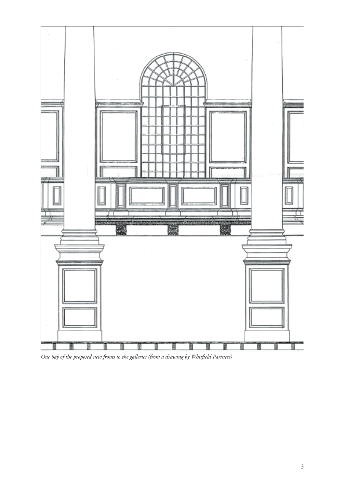

*One bay of the proposed new fronts to the galleries (from a drawing by Whitfield Partners)*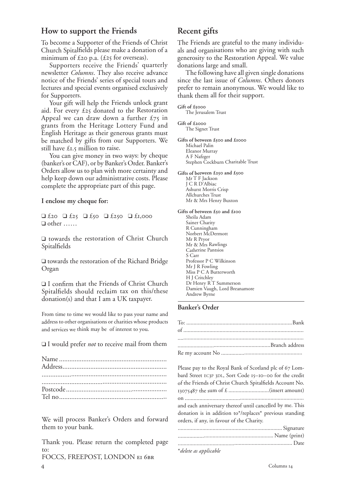# **How to support the Friends**

To become a Supporter of the Friends of Christ Church Spitalfields please make a donation of a minimum of  $\pounds$  20 p.a. ( $\pounds$  25 for overseas).

Supporters receive the Friends' quarterly newsletter *Columns*. They also receive advance notice of the Friends' series of special tours and lectures and special events organised exclusively for Supporters.

Your gift will help the Friends unlock grant aid. For every  $£25$  donated to the Restoration Appeal we can draw down a further  $\pounds 75$  in grants from the Heritage Lottery Fund and English Heritage as their generous grants must be matched by gifts from our Supporters. We still have  $\pounds$ 1.5 million to raise.

You can give money in two ways: by cheque (banker's or CAF), or by Banker's Order. Banker's Orders allow us to plan with more certainty and help keep down our administrative costs. Please complete the appropriate part of this page.

**I enclose my cheque for:**

 $\Box$  £20  $\Box$  £250  $\Box$  £1,000  $\Box$  £1,000 ❑ other ……

❑ towards the restoration of Christ Church Spitalfields

❑ towards the restoration of the Richard Bridge Organ

❑ I confirm that the Friends of Christ Church Spitalfields should reclaim tax on this/these donation(s) and that I am a UK taxpayer.

From time to time we would like to pass your name and address to other organisations or charities whose products and services we think may be of interest to you.

❑ I would prefer *not* to receive mail from them

| $\textbf{Postcode} \, \textcolor{red}{.} \textcolor{red}{.} \textcolor{red}{.} \textcolor{red}{.} \textcolor{red}{.} \textcolor{red}{.} \textcolor{red}{.} \textcolor{red}{.} \textcolor{red}{.} \textcolor{red}{.} \textcolor{red}{.} \textcolor{red}{.} \textcolor{red}{.} \textcolor{red}{.} \textcolor{red}{.} \textcolor{red}{.} \textcolor{red}{.} \textcolor{red}{.} \textcolor{red}{.} \textcolor{red}{.} \textcolor{red}{.} \textcolor{red}{.} \textcolor{red}{.} \textcolor{red}{.} \textcolor{red}{.} \textcolor{red}{.} \textcolor$ |  |
|-------------------------------------------------------------------------------------------------------------------------------------------------------------------------------------------------------------------------------------------------------------------------------------------------------------------------------------------------------------------------------------------------------------------------------------------------------------------------------------------------------------------------------------------------|--|
|                                                                                                                                                                                                                                                                                                                                                                                                                                                                                                                                                 |  |

We will process Banker's Orders and forward them to your bank.

Thank you. Please return the completed page to:

FOCCS, FREEPOST, LONDON EI 6BR

# **Recent gifts**

The Friends are grateful to the many individuals and organisations who are giving with such generosity to the Restoration Appeal. We value donations large and small.

The following have all given single donations since the last issue of *Columns*. Others donors prefer to remain anonymous. We would like to thank them all for their support.

**Gift of £** The Jerusalem Trust **Gift of £**

The Signet Trust

Gifts of between £500 and £1000 Michael Palin Eleanor Murray A F Nafzger Stephen Cockburn Charitable Trust

Gifts of between £250 and £500 Mr T F Jackson J C R D'Albiac Ashurst Morris Crisp Allchurches Trust Mr & Mrs Henry Buxton

Gifts of between £50 and £100 Sheila Adam Sainer Charity R Cunningham Norbert McDermott Mr R Pryor Mr & Mrs Rawlings Catherine Pantsios S Carr Professor P C Wilkinson Mr J R Fowling Miss P C A Butterworth H J Critchley Dr Henry R<sup>T</sup> Summerson Damien Vaugh, Lord Breanamore Andrew Byrne

# **Banker's Order**

Please pay to the Royal Bank of Scotland plc of 67 Lombard Street EC3P 3DL, Sort Code 15-10-00 for the credit of the Friends of Christ Church Spitalfields Account No. the sum of £ ............................(insert amount) on .................................................................................. and each anniversary thereof until cancelled by me. This donation is in addition to\*/replaces\* previous standing orders, if any, in favour of the Charity. ........................................................................ Signature .................................................................. Name (print) ............................................................................... Date

\**delete as applicable*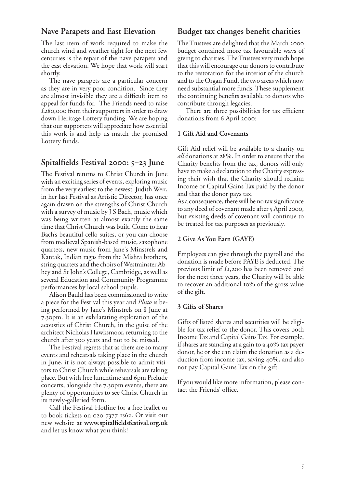# **Nave Parapets and East Elevation**

The last item of work required to make the church wind and weather tight for the next few centuries is the repair of the nave parapets and the east elevation. We hope that work will start shortly.

The nave parapets are a particular concern as they are in very poor condition. Since they are almost invisible they are a difficult item to appeal for funds for. The Friends need to raise  $£280,000$  from their supporters in order to draw down Heritage Lottery funding. We are hoping that our supporters will appreciate how essential this work is and help us match the promised Lottery funds.

# **Spitalfields Festival 2000: 5-23 June**

The Festival returns to Christ Church in June with an exciting series of events, exploring music from the very earliest to the newest. Judith Weir, in her last Festival as Artistic Director, has once again drawn on the strengths of Christ Church with a survey of music by J S Bach, music which was being written at almost exactly the same time that Christ Church was built. Come to hear Bach's beautiful cello suites, or you can choose from medieval Spanish-based music, saxophone quartets, new music from Jane's Minstrels and Kantak, Indian ragas from the Mishra brothers, string quartets and the choirs of Westminster Abbey and St John's College, Cambridge, as well as several Education and Community Programme performances by local school pupils.

Alison Bauld has been commissioned to write a piece for the Festival this year and *Pluto* is being performed by Jane's Minstrels on 8 June at 7.30pm. It is an exhilarating exploration of the acoustics of Christ Church, in the guise of the architect Nicholas Hawksmoor, returning to the church after 300 years and not to be missed.

The Festival regrets that as there are so many events and rehearsals taking place in the church in June, it is not always possible to admit visitors to Christ Church while rehearsals are taking place. But with free lunchtime and 6pm Prelude concerts, alongside the 7.30pm events, there are plenty of opportunities to see Christ Church in its newly-galleried form.

Call the Festival Hotline for a free leaflet or to book tickets on  $020$  7377 1362. Or visit our new website at **www.spitalfieldsfestival.org.uk** and let us know what you think!

# **Budget tax changes benefit charities**

The Trustees are delighted that the March 2000 budget contained more tax favourable ways of <sup>g</sup>iving to charities. The Trustees very much hope that this will encourage our donors to contribute to the restoration for the interior of the church and to the Organ Fund, the two areas which now need substantial more funds. These supplement the continuing benefits available to donors who contribute through legacies.

There are three possibilities for tax efficient donations from 6 April 2000:

#### **1 Gift Aid and Covenants**

Gift Aid relief will be available to a charity on *all* donations at 28%. In order to ensure that the Charity benefits from the tax, donors will only have to make a declaration to the Charity expressing their wish that the Charity should reclaim Income or Capital Gains Tax paid by the donor and that the donor pays tax.

As a consequence, there will be no tax significance to any deed of covenant made after 5 April 2000, but existing deeds of covenant will continue to be treated for tax purposes as previously.

#### **2 Give As You Earn (GAYE)**

Employees can give through the payroll and the donation is made before PAYE is deducted. The previous limit of £1,200 has been removed and for the next three years, the Charity will be able to recover an additional 10% of the gross value of the gift.

#### **3 Gifts of Shares**

Gifts of listed shares and securities will be eligible for tax relief to the donor. This covers both Income Tax and Capital Gains Tax. For example, if shares are standing at a gain to a  $40\%$  tax payer donor, he or she can claim the donation as a deduction from income tax, saving 40%, and also not pay Capital Gains Tax on the gift.

If you would like more information, please contact the Friends' office.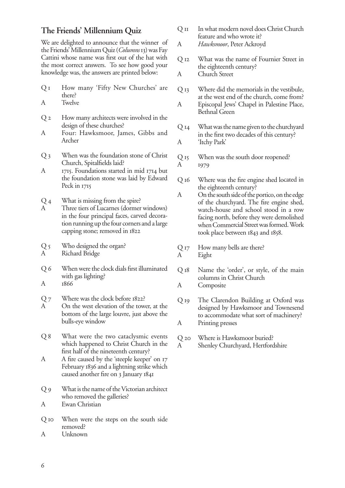# **The Friends' Millennium Quiz**

We are delighted to announce that the winner of the Friends' Millennium Quiz (*Columns* 13) was Fay Cattini whose name was first out of the hat with the most correct answers. To see how good your knowledge was, the answers are printed below:

- $Q_{I}$  How many 'Fifty New Churches' are there?
- A Twelve
- $Q_2$  How many architects were involved in the design of these churches?
- A Four: Hawksmoor, James, Gibbs and Archer
- Q 3 When was the foundation stone of Christ Church, Spitalfields laid?
- $A$  1715. Foundations started in mid 1714 but the foundation stone was laid by Edward Peck in 1715

 $Q<sub>4</sub>$  What is missing from the spire?

A Three tiers of Lucarnes (dormer windows) in the four principal faces, carved decoration running up the four corners and a large capping stone; removed in

Q 5 Who designed the organ? A Richard Bridge

- Q 6 When were the clock dials first illuminated with gas lighting?
- A
- $Q_7$  Where was the clock before  $1822$ ?
- A On the west elevation of the tower, at the bottom of the large louvre, just above the bulls-eye window
- Q 8 What were the two cataclysmic events which happened to Christ Church in the first half of the nineteenth century?
- A A fire caused by the 'steeple keeper' on 17 February 1836 and a lightning strike which caused another fire on 3 January 1841

Q 9 What is the name of the Victorian architect who removed the galleries? A Ewan Christian

Q 10 When were the steps on the south side removed?

A Unknown

- Q II In what modern novel does Christ Church feature and who wrote it?
- A *Hawksmoor*, Peter Ackroyd
- Q 12 What was the name of Fournier Street in the eighteenth century?
- A Church Street
- Q Where did the memorials in the vestibule, at the west end of the church, come from? A Episcopal Jews' Chapel in Palestine Place, Bethnal Green
- Q 14 What was the name given to the churchyard in the first two decades of this century?
- A 'Itchy Park'
- Q 15 When was the south door reopened?
- A 1979
- Q 16 Where was the fire engine shed located in the eighteenth century?
- A On the south side of the portico, on the edge of the churchyard. The fire engine shed, watch-house and school stood in a row facing north, before they were demolished when Commercial Street was formed. Work took place between 1843 and 1858.
- $Q_{I7}$  How many bells are there? A Eight
- Q 18 Name the 'order', or style, of the main columns in Christ Church
- A Composite
- Q 19 The Clarendon Building at Oxford was designed by Hawksmoor and Townesend to accommodate what sort of machinery? A Printing presses
- Q 20 Where is Hawksmoor buried?
- A Shenley Churchyard, Hertfordshire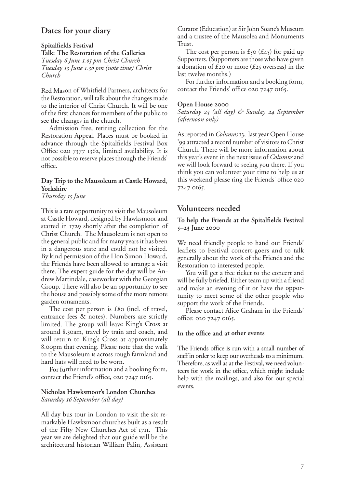# **Dates for your diary**

**Spitalfields Festival Talk: The Restoration of the Galleries**  *Tuesday June . pm Christ Church Tuesday June . pm (note time) Christ Church*

Red Mason of Whitfield Partners, architects for the Restoration, will talk about the changes made to the interior of Christ Church. It will be one of the first chances for members of the public to see the changes in the church.

Admission free, retiring collection for the Restoration Appeal. Places must be booked in advance through the Spitalfields Festival Box Office  $020$  7377 1362, limited availability. It is not possible to reserve places through the Friends' office.

# **Day Trip to the Mausoleum at Castle Howard, Yorkshire**

*Thursday Is June* 

This is a rare opportunity to visit the Mausoleum at Castle Howard, designed by Hawksmoor and started in 1729 shortly after the completion of Christ Church. The Mausoleum is not open to the general public and for many years it has been in a dangerous state and could not be visited. By kind permission of the Hon Simon Howard, the Friends have been allowed to arrange a visit there. The expert guide for the day will be Andrew Martindale, caseworker with the Georgian Group. There will also be an opportunity to see the house and possibly some of the more remote garden ornaments.

The cost per person is  $£80$  (incl. of travel, entrance fees & notes). Numbers are strictly limited. The group will leave King's Cross at around 8.30am, travel by train and coach, and will return to King's Cross at approximately 8.00pm that evening. Please note that the walk to the Mausoleum is across rough farmland and hard hats will need to be worn.

For further information and a booking form, contact the Friend's office,  $02072470165$ .

## **Nicholas Hawksmoor's London Churches** *Saturday September (all day)*

All day bus tour in London to visit the six remarkable Hawksmoor churches built as a result of the Fifty New Churches Act of 1711. This year we are delighted that our guide will be the architectural historian William Palin, Assistant Curator (Education) at Sir John Soane's Museum and a trustee of the Mausolea and Monuments Trust.

The cost per person is  $\mathcal{E}_{50}$  ( $\mathcal{E}_{45}$ ) for paid up Supporters. (Supporters are those who have given a donation of  $\text{\pounds}$ 20 or more ( $\text{\pounds}$ 25 overseas) in the last twelve months.)

For further information and a booking form, contact the Friends' office  $020$   $7247$   $0165$ .

#### **Open House**

*Saturday (all day) & Sunday September (afternoon only)*

As reported in *Columns* 13, last year Open House '99 attracted a record number of visitors to Christ Church. There will be more information about this year's event in the next issue of *Columns* and we will look forward to seeing you there. If you think you can volunteer your time to help us at this weekend please ring the Friends' office 7247 0165.

# **Volunteers needed**

### **To help the Friends at the Spitalfields Festival – June**

We need friendly people to hand out Friends' leaflets to Festival concert-goers and to talk generally about the work of the Friends and the Restoration to interested people.

You will get a free ticket to the concert and will be fully briefed. Either team up with a friend and make an evening of it or have the opportunity to meet some of the other people who support the work of the Friends.

Please contact Alice Graham in the Friends' office:  $02072470165$ .

## **In the office and at other events**

The Friends office is run with a small number of staff in order to keep our overheads to a minimum. Therefore, as well as at the Festival, we need volunteers for work in the office, which might include help with the mailings, and also for our special events.